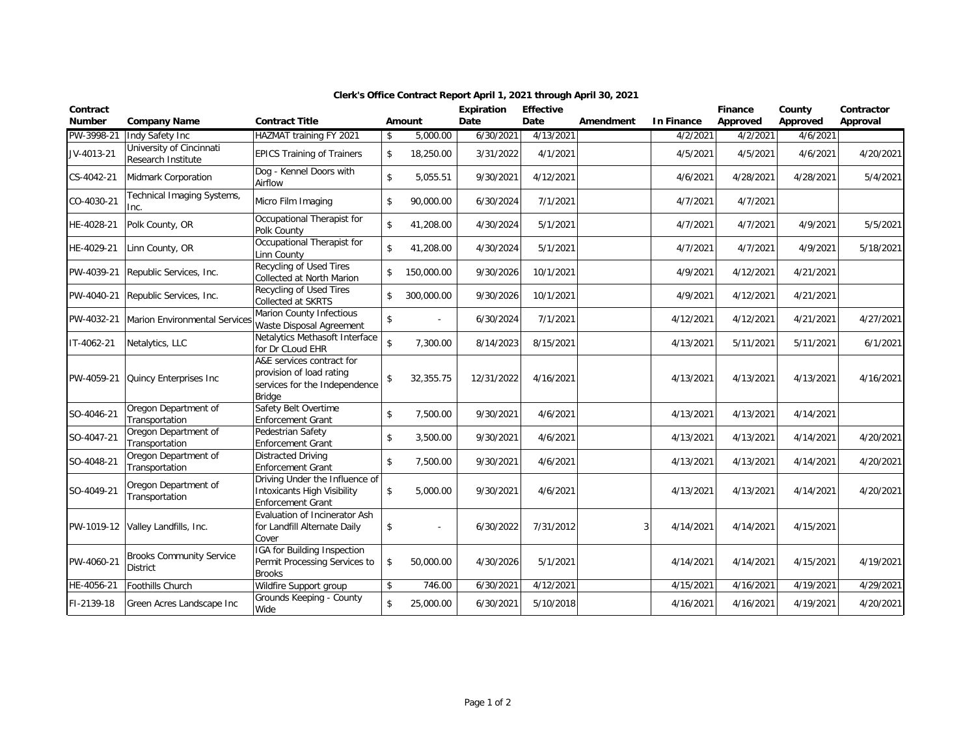| Contract<br>Number | <b>Company Name</b>                                | <b>Contract Title</b>                                                                                   |                    | Amount     | <b>Expiration</b><br>Date | <b>Effective</b><br>Date | Amendment | <b>In Finance</b> | Finance<br>Approved | County<br>Approved | Contractor<br>Approval |
|--------------------|----------------------------------------------------|---------------------------------------------------------------------------------------------------------|--------------------|------------|---------------------------|--------------------------|-----------|-------------------|---------------------|--------------------|------------------------|
| PW-3998-21         | Indy Safety Inc                                    | HAZMAT training FY 2021                                                                                 | \$                 | 5,000.00   | 6/30/2021                 | 4/13/2021                |           | 4/2/2021          | 4/2/2021            | 4/6/2021           |                        |
| JV-4013-21         | University of Cincinnati<br>Research Institute     | <b>EPICS Training of Trainers</b>                                                                       | \$                 | 18,250.00  | 3/31/2022                 | 4/1/2021                 |           | 4/5/2021          | 4/5/2021            | 4/6/2021           | 4/20/2021              |
| CS-4042-21         | Midmark Corporation                                | Dog - Kennel Doors with<br>Airflow                                                                      | \$                 | 5,055.51   | 9/30/2021                 | 4/12/2021                |           | 4/6/2021          | 4/28/2021           | 4/28/2021          | 5/4/2021               |
| CO-4030-21         | Technical Imaging Systems,<br>Inc.                 | Micro Film Imaging                                                                                      | \$                 | 90,000.00  | 6/30/2024                 | 7/1/2021                 |           | 4/7/2021          | 4/7/2021            |                    |                        |
| HE-4028-21         | Polk County, OR                                    | Occupational Therapist for<br>Polk County                                                               | $\mathsf{\$}$      | 41,208.00  | 4/30/2024                 | 5/1/2021                 |           | 4/7/2021          | 4/7/2021            | 4/9/2021           | 5/5/2021               |
| HE-4029-21         | Linn County, OR                                    | Occupational Therapist for<br>Linn County                                                               | \$                 | 41,208.00  | 4/30/2024                 | 5/1/2021                 |           | 4/7/2021          | 4/7/2021            | 4/9/2021           | 5/18/2021              |
| PW-4039-21         | Republic Services, Inc.                            | Recycling of Used Tires<br>Collected at North Marion                                                    | \$                 | 150,000.00 | 9/30/2026                 | 10/1/2021                |           | 4/9/2021          | 4/12/2021           | 4/21/2021          |                        |
| PW-4040-21         | Republic Services, Inc.                            | Recycling of Used Tires<br>Collected at SKRTS                                                           | \$                 | 300,000.00 | 9/30/2026                 | 10/1/2021                |           | 4/9/2021          | 4/12/2021           | 4/21/2021          |                        |
| PW-4032-21         | Marion Environmental Services                      | Marion County Infectious<br>Waste Disposal Agreement                                                    | \$                 |            | 6/30/2024                 | 7/1/2021                 |           | 4/12/2021         | 4/12/2021           | 4/21/2021          | 4/27/2021              |
| IT-4062-21         | Netalytics, LLC                                    | Netalytics Methasoft Interface<br>for Dr CLoud EHR                                                      | $\mathbf{\hat{S}}$ | 7,300.00   | 8/14/2023                 | 8/15/2021                |           | 4/13/2021         | 5/11/2021           | 5/11/2021          | 6/1/2021               |
| PW-4059-21         | Quincy Enterprises Inc                             | A&E services contract for<br>provision of load rating<br>services for the Independence<br><b>Bridge</b> | \$                 | 32,355.75  | 12/31/2022                | 4/16/2021                |           | 4/13/2021         | 4/13/2021           | 4/13/2021          | 4/16/2021              |
| SO-4046-21         | Oregon Department of<br>Transportation             | Safety Belt Overtime<br><b>Enforcement Grant</b>                                                        | \$                 | 7,500.00   | 9/30/2021                 | 4/6/2021                 |           | 4/13/2021         | 4/13/2021           | 4/14/2021          |                        |
| SO-4047-21         | Oregon Department of<br>Transportation             | Pedestrian Safety<br><b>Enforcement Grant</b>                                                           | \$                 | 3,500.00   | 9/30/2021                 | 4/6/2021                 |           | 4/13/2021         | 4/13/2021           | 4/14/2021          | 4/20/2021              |
| SO-4048-21         | Oregon Department of<br>Transportation             | <b>Distracted Driving</b><br><b>Enforcement Grant</b>                                                   | \$                 | 7,500.00   | 9/30/2021                 | 4/6/2021                 |           | 4/13/2021         | 4/13/2021           | 4/14/2021          | 4/20/2021              |
| SO-4049-21         | Oregon Department of<br>Transportation             | Driving Under the Influence of<br><b>Intoxicants High Visibility</b><br><b>Enforcement Grant</b>        | \$                 | 5,000.00   | 9/30/2021                 | 4/6/2021                 |           | 4/13/2021         | 4/13/2021           | 4/14/2021          | 4/20/2021              |
| PW-1019-12         | Valley Landfills, Inc.                             | Evaluation of Incinerator Ash<br>for Landfill Alternate Daily<br>Cover                                  | \$                 |            | 6/30/2022                 | 7/31/2012                | 3         | 4/14/2021         | 4/14/2021           | 4/15/2021          |                        |
| PW-4060-21         | <b>Brooks Community Service</b><br><b>District</b> | IGA for Building Inspection<br>Permit Processing Services to<br><b>Brooks</b>                           | $\mathsf{\$}$      | 50,000.00  | 4/30/2026                 | 5/1/2021                 |           | 4/14/2021         | 4/14/2021           | 4/15/2021          | 4/19/2021              |
| HE-4056-21         | Foothills Church                                   | Wildfire Support group                                                                                  | \$                 | 746.00     | 6/30/2021                 | 4/12/2021                |           | 4/15/2021         | 4/16/2021           | 4/19/2021          | 4/29/2021              |
| FI-2139-18         | Green Acres Landscape Inc                          | Grounds Keeping - County<br>Wide                                                                        | \$                 | 25,000.00  | 6/30/2021                 | 5/10/2018                |           | 4/16/2021         | 4/16/2021           | 4/19/2021          | 4/20/2021              |

## **Clerk's Office Contract Report April 1, 2021 through April 30, 2021**